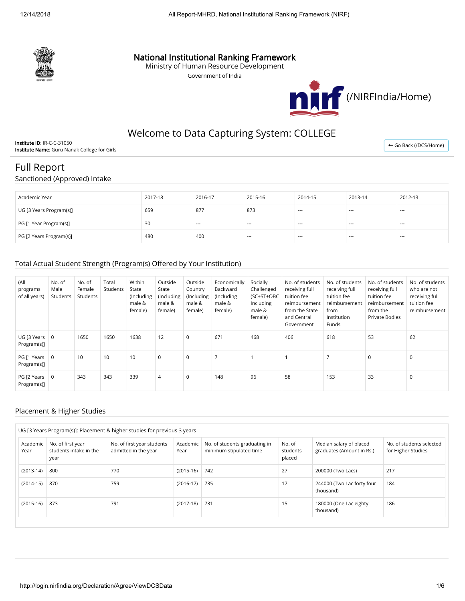

### National Institutional Ranking Framework

Ministry of Human Resource Development

Government of India



## Welcome to Data Capturing System: COLLEGE

Institute ID: IR-C-C-31050 Institute Name: Guru Nanak College for Girls

← [Go Back \(/DCS/Home\)](http://login.nirfindia.org/DCS/Home)

# Full Report

Sanctioned (Approved) Intake

| Academic Year           | 2017-18 | 2016-17 | 2015-16 | 2014-15 | 2013-14 | 2012-13 |
|-------------------------|---------|---------|---------|---------|---------|---------|
| UG [3 Years Program(s)] | 659     | 877     | 873     | $- - -$ | $- - -$ | $- - -$ |
| PG [1 Year Program(s)]  | 30      | $--$    | $--$    | $---$   | ---     | $- - -$ |
| PG [2 Years Program(s)] | 480     | 400     | ---     | $---$   | ---     | $- - -$ |

#### Total Actual Student Strength (Program(s) Offered by Your Institution)

| (All<br>programs<br>of all years) | No. of<br>Male<br>Students | No. of<br>Female<br>Students | Total<br>Students | Within<br>State<br>(Including<br>male &<br>female) | Outside<br>State<br>(Including<br>male &<br>female) | Outside<br>Country<br>(Including<br>male &<br>female) | Economically<br>Backward<br>(Including<br>male &<br>female) | Socially<br>Challenged<br>(SC+ST+OBC<br>Including<br>male &<br>female) | No. of students<br>receiving full<br>tuition fee<br>reimbursement<br>from the State<br>and Central<br>Government | No. of students<br>receiving full<br>tuition fee<br>reimbursement<br>from<br>Institution<br>Funds | No. of students<br>receiving full<br>tuition fee<br>reimbursement<br>from the<br><b>Private Bodies</b> | No. of students<br>who are not<br>receiving full<br>tuition fee<br>reimbursement |
|-----------------------------------|----------------------------|------------------------------|-------------------|----------------------------------------------------|-----------------------------------------------------|-------------------------------------------------------|-------------------------------------------------------------|------------------------------------------------------------------------|------------------------------------------------------------------------------------------------------------------|---------------------------------------------------------------------------------------------------|--------------------------------------------------------------------------------------------------------|----------------------------------------------------------------------------------|
| UG [3 Years<br>Program(s)]        | 0                          | 1650                         | 1650              | 1638                                               | 12                                                  | 0                                                     | 671                                                         | 468                                                                    | 406                                                                                                              | 618                                                                                               | 53                                                                                                     | 62                                                                               |
| PG [1 Years<br>Program(s)]        | $\overline{0}$             | 10                           | 10                | 10                                                 | $\mathbf 0$                                         | 0                                                     | $\overline{ }$                                              |                                                                        |                                                                                                                  |                                                                                                   | $\mathbf 0$                                                                                            | $\mathbf 0$                                                                      |
| PG [2 Years<br>Program(s)]        | $\overline{0}$             | 343                          | 343               | 339                                                | 4                                                   | 0                                                     | 148                                                         | 96                                                                     | 58                                                                                                               | 153                                                                                               | 33                                                                                                     | 0                                                                                |

#### Placement & Higher Studies

| UG [3 Years Program(s)]: Placement & higher studies for previous 3 years |                                                     |                                                    |                  |                                                          |                              |                                                      |                                                |  |  |  |  |  |
|--------------------------------------------------------------------------|-----------------------------------------------------|----------------------------------------------------|------------------|----------------------------------------------------------|------------------------------|------------------------------------------------------|------------------------------------------------|--|--|--|--|--|
| Academic<br>Year                                                         | No. of first year<br>students intake in the<br>year | No. of first year students<br>admitted in the year | Academic<br>Year | No. of students graduating in<br>minimum stipulated time | No. of<br>students<br>placed | Median salary of placed<br>graduates (Amount in Rs.) | No. of students selected<br>for Higher Studies |  |  |  |  |  |
| $(2013-14)$                                                              | 800                                                 | 770                                                | $(2015-16)$      | 742                                                      | 27                           | 200000 (Two Lacs)                                    | 217                                            |  |  |  |  |  |
| $(2014-15)$                                                              | 870                                                 | 759                                                | $(2016-17)$      | 735                                                      | 17                           | 244000 (Two Lac forty four<br>thousand)              | 184                                            |  |  |  |  |  |
| $(2015-16)$                                                              | 873                                                 | 791                                                | $(2017-18)$      | 731                                                      | 15                           | 180000 (One Lac eighty<br>thousand)                  | 186                                            |  |  |  |  |  |
|                                                                          |                                                     |                                                    |                  |                                                          |                              |                                                      |                                                |  |  |  |  |  |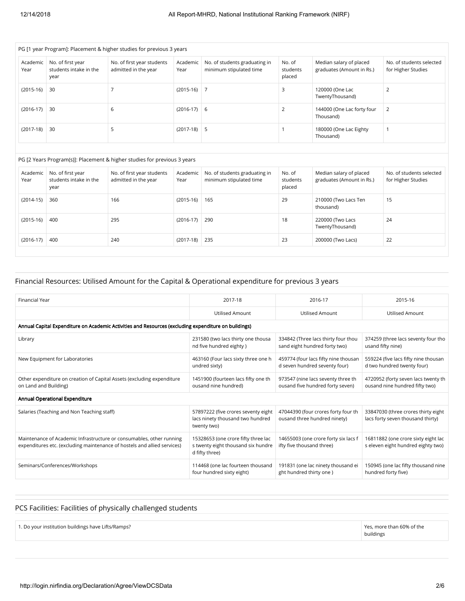| PG [1 year Program]: Placement & higher studies for previous 3 years           |                                                     |                                                    |                  |                                                          |                              |                                                      |                                                |  |  |  |  |  |
|--------------------------------------------------------------------------------|-----------------------------------------------------|----------------------------------------------------|------------------|----------------------------------------------------------|------------------------------|------------------------------------------------------|------------------------------------------------|--|--|--|--|--|
| Academic<br>Year                                                               | No. of first year<br>students intake in the<br>year | No. of first year students<br>admitted in the year | Academic<br>Year | No. of students graduating in<br>minimum stipulated time | No. of<br>students<br>placed | Median salary of placed<br>graduates (Amount in Rs.) | No. of students selected<br>for Higher Studies |  |  |  |  |  |
| $(2015-16)$                                                                    | 30                                                  |                                                    | $(2015-16)$ 7    |                                                          | 3                            | 120000 (One Lac<br>TwentyThousand)                   |                                                |  |  |  |  |  |
| $(2016-17)$                                                                    | 30                                                  | 6                                                  | $(2016-17)$ 6    |                                                          |                              | 144000 (One Lac forty four<br>Thousand)              | 2                                              |  |  |  |  |  |
| $(2017-18)$ 5<br>30<br>$(2017-18)$<br>5<br>180000 (One Lac Eighty<br>Thousand) |                                                     |                                                    |                  |                                                          |                              |                                                      |                                                |  |  |  |  |  |
|                                                                                |                                                     |                                                    |                  |                                                          |                              |                                                      |                                                |  |  |  |  |  |

| PG [2 Years Program(s)]: Placement & higher studies for previous 3 years |                                                                                                           |     |                                                                              |     |                              |                                                      |                                                |  |  |  |  |  |
|--------------------------------------------------------------------------|-----------------------------------------------------------------------------------------------------------|-----|------------------------------------------------------------------------------|-----|------------------------------|------------------------------------------------------|------------------------------------------------|--|--|--|--|--|
| Academic<br>Year                                                         | No. of first year<br>No. of first year students<br>students intake in the<br>admitted in the year<br>year |     | No. of students graduating in<br>Academic<br>minimum stipulated time<br>Year |     | No. of<br>students<br>placed | Median salary of placed<br>graduates (Amount in Rs.) | No. of students selected<br>for Higher Studies |  |  |  |  |  |
| $(2014-15)$                                                              | 360<br>166                                                                                                |     | $(2015-16)$                                                                  | 165 | 29                           | 210000 (Two Lacs Ten<br>thousand)                    | 15                                             |  |  |  |  |  |
| $(2015-16)$                                                              | 400                                                                                                       | 295 | $(2016-17)$                                                                  | 290 | 18                           | 220000 (Two Lacs<br>TwentyThousand)                  | 24                                             |  |  |  |  |  |
| $(2016-17)$                                                              | 400                                                                                                       | 240 | $(2017-18)$                                                                  | 235 | 23                           | 200000 (Two Lacs)                                    | 22                                             |  |  |  |  |  |

#### Financial Resources: Utilised Amount for the Capital & Operational expenditure for previous 3 years

| <b>Financial Year</b>                                                                                                                            | 2017-18                                                                                     | 2016-17                                                                | 2015-16                                                                   |  |  |  |  |  |  |  |  |
|--------------------------------------------------------------------------------------------------------------------------------------------------|---------------------------------------------------------------------------------------------|------------------------------------------------------------------------|---------------------------------------------------------------------------|--|--|--|--|--|--|--|--|
|                                                                                                                                                  | <b>Utilised Amount</b>                                                                      | <b>Utilised Amount</b>                                                 | <b>Utilised Amount</b>                                                    |  |  |  |  |  |  |  |  |
| Annual Capital Expenditure on Academic Activities and Resources (excluding expenditure on buildings)                                             |                                                                                             |                                                                        |                                                                           |  |  |  |  |  |  |  |  |
| Library                                                                                                                                          | 231580 (two lacs thirty one thousa<br>nd five hundred eighty)                               | 334842 (Three lacs thirty four thou<br>sand eight hundred forty two)   | 374259 (three lacs seventy four tho<br>usand fifty nine)                  |  |  |  |  |  |  |  |  |
| New Equipment for Laboratories                                                                                                                   | 463160 (Four lacs sixty three one h<br>undred sixty)                                        | 459774 (four lacs fifty nine thousan<br>d seven hundred seventy four)  | 559224 (five lacs fifty nine thousan<br>d two hundred twenty four)        |  |  |  |  |  |  |  |  |
| Other expenditure on creation of Capital Assets (excluding expenditure<br>on Land and Building)                                                  | 1451900 (fourteen lacs fifty one th<br>ousand nine hundred)                                 | 973547 (nine lacs seventy three th<br>ousand five hundred forty seven) | 4720952 (forty seven lacs twenty th<br>ousand nine hundred fifty two)     |  |  |  |  |  |  |  |  |
| Annual Operational Expenditure                                                                                                                   |                                                                                             |                                                                        |                                                                           |  |  |  |  |  |  |  |  |
| Salaries (Teaching and Non Teaching staff)                                                                                                       | 57897222 (five crores seventy eight<br>lacs ninety thousand two hundred<br>twenty two)      | 47044390 (four crores forty four th<br>ousand three hundred ninety)    | 33847030 (three crores thirty eight<br>lacs forty seven thousand thirty)  |  |  |  |  |  |  |  |  |
| Maintenance of Academic Infrastructure or consumables, other running<br>expenditures etc. (excluding maintenance of hostels and allied services) | 15328653 (one crore fifty three lac<br>s twenty eight thousand six hundre<br>d fifty three) | 14655003 (one crore forty six lacs f<br>ifty five thousand three)      | 16811882 (one crore sixty eight lac<br>s eleven eight hundred eighty two) |  |  |  |  |  |  |  |  |
| Seminars/Conferences/Workshops                                                                                                                   | 114468 (one lac fourteen thousand<br>four hundred sixty eight)                              | 191831 (one lac ninety thousand ei<br>ght hundred thirty one)          | 150945 (one lac fifty thousand nine<br>hundred forty five)                |  |  |  |  |  |  |  |  |

#### PCS Facilities: Facilities of physically challenged students

1. Do your institution buildings have Lifts/Ramps? Yes, more than 60% of the

buildings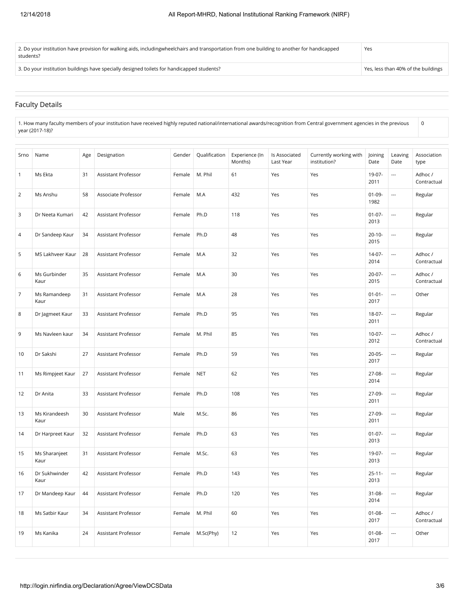| 2. Do your institution have provision for walking aids, includingwheelchairs and transportation from one building to another for handicapped<br>students? | Yes                                 |
|-----------------------------------------------------------------------------------------------------------------------------------------------------------|-------------------------------------|
| 3. Do your institution buildings have specially designed toilets for handicapped students?                                                                | Yes, less than 40% of the buildings |

#### Faculty Details

1. How many faculty members of your institution have received highly reputed national/international awards/recognition from Central government agencies in the previous year (2017-18)?

| Srno           | Name                  | Age | Designation                | Gender | Qualification | Experience (In<br>Months) | Is Associated<br>Last Year | Currently working with<br>institution? | Joining<br>Date     | Leaving<br>Date          | Association<br>type    |
|----------------|-----------------------|-----|----------------------------|--------|---------------|---------------------------|----------------------------|----------------------------------------|---------------------|--------------------------|------------------------|
| $\mathbf{1}$   | Ms Ekta               | 31  | Assistant Professor        | Female | M. Phil       | 61                        | Yes                        | Yes                                    | 19-07-<br>2011      | ---                      | Adhoc /<br>Contractual |
| 2              | Ms Anshu              | 58  | Associate Professor        | Female | M.A           | 432                       | Yes                        | Yes                                    | $01-09-$<br>1982    | ---                      | Regular                |
| 3              | Dr Neeta Kumari       | 42  | Assistant Professor        | Female | Ph.D          | 118                       | Yes                        | Yes                                    | $01-07-$<br>2013    | $\overline{\phantom{a}}$ | Regular                |
| 4              | Dr Sandeep Kaur       | 34  | <b>Assistant Professor</b> | Female | Ph.D          | 48                        | Yes                        | Yes                                    | $20 - 10 -$<br>2015 | ---                      | Regular                |
| 5              | MS Lakhveer Kaur      | 28  | Assistant Professor        | Female | M.A           | 32                        | Yes                        | Yes                                    | $14-07-$<br>2014    | ---                      | Adhoc /<br>Contractual |
| 6              | Ms Gurbinder<br>Kaur  | 35  | Assistant Professor        | Female | M.A           | 30                        | Yes                        | Yes                                    | $20-07-$<br>2015    | ---                      | Adhoc /<br>Contractual |
| $\overline{7}$ | Ms Ramandeep<br>Kaur  | 31  | Assistant Professor        | Female | M.A           | 28                        | Yes                        | Yes                                    | $01 - 01 -$<br>2017 | ---                      | Other                  |
| 8              | Dr Jagmeet Kaur       | 33  | <b>Assistant Professor</b> | Female | Ph.D          | 95                        | Yes                        | Yes                                    | 18-07-<br>2011      | ---                      | Regular                |
| 9              | Ms Navleen kaur       | 34  | Assistant Professor        | Female | M. Phil       | 85                        | Yes                        | Yes                                    | $10-07 -$<br>2012   | ---                      | Adhoc /<br>Contractual |
| 10             | Dr Sakshi             | 27  | <b>Assistant Professor</b> | Female | Ph.D          | 59                        | Yes                        | Yes                                    | $20 - 05 -$<br>2017 | ---                      | Regular                |
| 11             | Ms Rimpjeet Kaur      | 27  | Assistant Professor        | Female | <b>NET</b>    | 62                        | Yes                        | Yes                                    | 27-08-<br>2014      | ---                      | Regular                |
| 12             | Dr Anita              | 33  | Assistant Professor        | Female | Ph.D          | 108                       | Yes                        | Yes                                    | 27-09-<br>2011      | ---                      | Regular                |
| 13             | Ms Kirandeesh<br>Kaur | 30  | Assistant Professor        | Male   | M.Sc.         | 86                        | Yes                        | Yes                                    | 27-09-<br>2011      | ---                      | Regular                |
| 14             | Dr Harpreet Kaur      | 32  | Assistant Professor        | Female | Ph.D          | 63                        | Yes                        | Yes                                    | $01-07-$<br>2013    | $\hspace{0.05cm} \cdots$ | Regular                |
| 15             | Ms Sharanjeet<br>Kaur | 31  | Assistant Professor        | Female | M.Sc.         | 63                        | Yes                        | Yes                                    | 19-07-<br>2013      | ---                      | Regular                |
| 16             | Dr Sukhwinder<br>Kaur | 42  | Assistant Professor        | Female | Ph.D          | 143                       | Yes                        | Yes                                    | $25 - 11 -$<br>2013 | ---                      | Regular                |
| 17             | Dr Mandeep Kaur       | 44  | Assistant Professor        | Female | Ph.D          | 120                       | Yes                        | Yes                                    | $31 - 08 -$<br>2014 | ---                      | Regular                |
| 18             | Ms Satbir Kaur        | 34  | Assistant Professor        | Female | M. Phil       | 60                        | Yes                        | Yes                                    | $01 - 08 -$<br>2017 | ---                      | Adhoc /<br>Contractual |
| 19             | Ms Kanika             | 24  | Assistant Professor        | Female | M.Sc(Phy)     | 12                        | Yes                        | Yes                                    | $01 - 08 -$<br>2017 | ---                      | Other                  |

0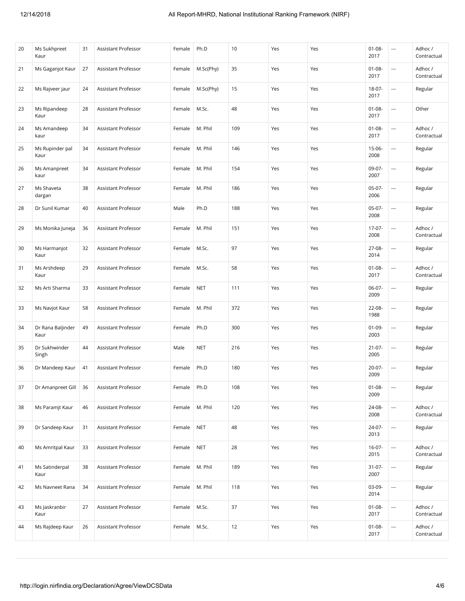| 20 | Ms Sukhpreet<br>Kaur      | 31 | Assistant Professor | Female | Ph.D       | 10  | Yes | Yes | $01 - 08 -$<br>2017 | $\overline{\phantom{a}}$ | Adhoc /<br>Contractual |
|----|---------------------------|----|---------------------|--------|------------|-----|-----|-----|---------------------|--------------------------|------------------------|
| 21 | Ms Gaganjot Kaur          | 27 | Assistant Professor | Female | M.Sc(Phy)  | 35  | Yes | Yes | $01 - 08 -$<br>2017 | $\overline{a}$           | Adhoc /<br>Contractual |
| 22 | Ms Rajveer jaur           | 24 | Assistant Professor | Female | M.Sc(Phy)  | 15  | Yes | Yes | 18-07-<br>2017      | ---                      | Regular                |
| 23 | Ms Ripandeep<br>Kaur      | 28 | Assistant Professor | Female | M.Sc.      | 48  | Yes | Yes | $01 - 08 -$<br>2017 | ---                      | Other                  |
| 24 | Ms Amandeep<br>kaur       | 34 | Assistant Professor | Female | M. Phil    | 109 | Yes | Yes | $01 - 08 -$<br>2017 | $\overline{a}$           | Adhoc /<br>Contractual |
| 25 | Ms Rupinder pal<br>Kaur   | 34 | Assistant Professor | Female | M. Phil    | 146 | Yes | Yes | $15-06-$<br>2008    | $\cdots$                 | Regular                |
| 26 | Ms Amanpreet<br>kaur      | 34 | Assistant Professor | Female | M. Phil    | 154 | Yes | Yes | 09-07-<br>2007      | ---                      | Regular                |
| 27 | Ms Shaveta<br>dargan      | 38 | Assistant Professor | Female | M. Phil    | 186 | Yes | Yes | $05-07-$<br>2006    |                          | Regular                |
| 28 | Dr Sunil Kumar            | 40 | Assistant Professor | Male   | Ph.D       | 188 | Yes | Yes | $05-07-$<br>2008    | $\overline{a}$           | Regular                |
| 29 | Ms Monika Juneja          | 36 | Assistant Professor | Female | M. Phil    | 151 | Yes | Yes | 17-07-<br>2008      | $\overline{a}$           | Adhoc /<br>Contractual |
| 30 | Ms Harmanjot<br>Kaur      | 32 | Assistant Professor | Female | M.Sc.      | 97  | Yes | Yes | 27-08-<br>2014      | $\overline{a}$           | Regular                |
| 31 | Ms Arshdeep<br>Kaur       | 29 | Assistant Professor | Female | M.Sc.      | 58  | Yes | Yes | $01 - 08 -$<br>2017 | ---                      | Adhoc /<br>Contractual |
| 32 | Ms Arti Sharma            | 33 | Assistant Professor | Female | <b>NET</b> | 111 | Yes | Yes | 06-07-<br>2009      | $\overline{a}$           | Regular                |
| 33 | Ms Navjot Kaur            | 58 | Assistant Professor | Female | M. Phil    | 372 | Yes | Yes | 22-08-<br>1988      | $\hspace{0.05cm} \ldots$ | Regular                |
| 34 | Dr Rana Baljinder<br>Kaur | 49 | Assistant Professor | Female | Ph.D       | 300 | Yes | Yes | $01 - 09 -$<br>2003 | ---                      | Regular                |
| 35 | Dr Sukhwinder<br>Singh    | 44 | Assistant Professor | Male   | <b>NET</b> | 216 | Yes | Yes | $21 - 07 -$<br>2005 |                          | Regular                |
| 36 | Dr Mandeep Kaur           | 41 | Assistant Professor | Female | Ph.D       | 180 | Yes | Yes | $20 - 07 -$<br>2009 | $\overline{a}$           | Regular                |
| 37 | Dr Amanpreet Gill         | 36 | Assistant Professor | Female | Ph.D       | 108 | Yes | Yes | $01 - 08 -$<br>2009 | $\sim$                   | Regular                |
| 38 | Ms Paramjt Kaur           | 46 | Assistant Professor | Female | M. Phil    | 120 | Yes | Yes | 24-08-<br>2008      | ---                      | Adhoc /<br>Contractual |
| 39 | Dr Sandeep Kaur           | 31 | Assistant Professor | Female | <b>NET</b> | 48  | Yes | Yes | 24-07-<br>2013      | ---                      | Regular                |
| 40 | Ms Amritpal Kaur          | 33 | Assistant Professor | Female | <b>NET</b> | 28  | Yes | Yes | $16-07-$<br>2015    |                          | Adhoc /<br>Contractual |
| 41 | Ms Satinderpal<br>Kaur    | 38 | Assistant Professor | Female | M. Phil    | 189 | Yes | Yes | $31 - 07 -$<br>2007 | ---                      | Regular                |
| 42 | Ms Navneet Rana           | 34 | Assistant Professor | Female | M. Phil    | 118 | Yes | Yes | $03-09-$<br>2014    | ---                      | Regular                |
| 43 | Ms Jaskranbir<br>Kaur     | 27 | Assistant Professor | Female | M.Sc.      | 37  | Yes | Yes | $01 - 08 -$<br>2017 |                          | Adhoc /<br>Contractual |
| 44 | Ms Rajdeep Kaur           | 26 | Assistant Professor | Female | M.Sc.      | 12  | Yes | Yes | $01 - 08 -$<br>2017 | $\hspace{0.05cm} \ldots$ | Adhoc /<br>Contractual |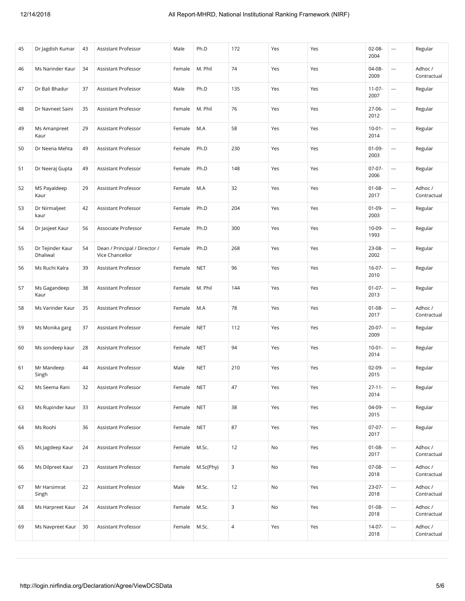| 45 | Dr Jagdish Kumar             | 43 | Assistant Professor                              | Male   | Ph.D       | 172            | Yes | Yes | $02 - 08 -$<br>2004 | $\cdots$                 | Regular                |
|----|------------------------------|----|--------------------------------------------------|--------|------------|----------------|-----|-----|---------------------|--------------------------|------------------------|
| 46 | Ms Narinder Kaur             | 34 | Assistant Professor                              | Female | M. Phil    | 74             | Yes | Yes | 04-08-<br>2009      | $\overline{\phantom{a}}$ | Adhoc /<br>Contractual |
| 47 | Dr Bali Bhadur               | 37 | Assistant Professor                              | Male   | Ph.D       | 135            | Yes | Yes | $11-07-$<br>2007    | $\sim$                   | Regular                |
| 48 | Dr Navneet Saini             | 35 | Assistant Professor                              | Female | M. Phil    | 76             | Yes | Yes | 27-06-<br>2012      | $\overline{\phantom{a}}$ | Regular                |
| 49 | Ms Amanpreet<br>Kaur         | 29 | Assistant Professor                              | Female | M.A        | 58             | Yes | Yes | $10 - 01 -$<br>2014 | $\overline{\phantom{a}}$ | Regular                |
| 50 | Dr Neena Mehta               | 49 | Assistant Professor                              | Female | Ph.D       | 230            | Yes | Yes | $01-09-$<br>2003    | $\overline{\phantom{a}}$ | Regular                |
| 51 | Dr Neeraj Gupta              | 49 | Assistant Professor                              | Female | Ph.D       | 148            | Yes | Yes | $07-07-$<br>2006    | ---                      | Regular                |
| 52 | MS Payaldeep<br>Kaur         | 29 | Assistant Professor                              | Female | M.A        | 32             | Yes | Yes | $01 - 08 -$<br>2017 | $\overline{\phantom{a}}$ | Adhoc /<br>Contractual |
| 53 | Dr Nirmaljeet<br>kaur        | 42 | Assistant Professor                              | Female | Ph.D       | 204            | Yes | Yes | $01-09-$<br>2003    | $\overline{\phantom{a}}$ | Regular                |
| 54 | Dr Jasjeet Kaur              | 56 | Associate Professor                              | Female | Ph.D       | 300            | Yes | Yes | 10-09-<br>1993      | $\overline{\phantom{a}}$ | Regular                |
| 55 | Dr Tejinder Kaur<br>Dhaliwal | 54 | Dean / Principal / Director /<br>Vice Chancellor | Female | Ph.D       | 268            | Yes | Yes | 23-08-<br>2002      | $\overline{\phantom{a}}$ | Regular                |
| 56 | Ms Ruchi Kalra               | 39 | Assistant Professor                              | Female | <b>NET</b> | 96             | Yes | Yes | $16-07-$<br>2010    | $\overline{\phantom{a}}$ | Regular                |
| 57 | Ms Gagandeep<br>Kaur         | 38 | Assistant Professor                              | Female | M. Phil    | 144            | Yes | Yes | $01-07-$<br>2013    | $\overline{\phantom{a}}$ | Regular                |
| 58 | Ms Varinder Kaur             | 35 | Assistant Professor                              | Female | M.A        | 78             | Yes | Yes | $01 - 08 -$<br>2017 | $\overline{\phantom{a}}$ | Adhoc /<br>Contractual |
| 59 | Ms Monika garg               | 37 | Assistant Professor                              | Female | <b>NET</b> | 112            | Yes | Yes | $20-07-$<br>2009    | $\overline{\phantom{a}}$ | Regular                |
| 60 | Ms sondeep kaur              | 28 | Assistant Professor                              | Female | <b>NET</b> | 94             | Yes | Yes | $10-01 -$<br>2014   | $\hspace{0.05cm} \ldots$ | Regular                |
| 61 | Mr Mandeep<br>Singh          | 44 | Assistant Professor                              | Male   | <b>NET</b> | 210            | Yes | Yes | $02-09-$<br>2015    | $\overline{\phantom{a}}$ | Regular                |
| 62 | Ms Seema Rani                | 32 | Assistant Professor                              | Female | <b>NET</b> | 47             | Yes | Yes | $27 - 11 -$<br>2014 | $\overline{\phantom{a}}$ | Regular                |
| 63 | Ms Rupinder kaur             | 33 | Assistant Professor                              | Female | <b>NET</b> | 38             | Yes | Yes | 04-09-<br>2015      | $\hspace{0.05cm} \ldots$ | Regular                |
| 64 | Ms Roohi                     | 36 | Assistant Professor                              | Female | <b>NET</b> | 87             | Yes | Yes | $07-07-$<br>2017    | $\overline{\phantom{a}}$ | Regular                |
| 65 | Ms Jagdeep Kaur              | 24 | Assistant Professor                              | Female | M.Sc.      | 12             | No  | Yes | $01 - 08 -$<br>2017 | $\hspace{0.05cm} \ldots$ | Adhoc /<br>Contractual |
| 66 | Ms Dilpreet Kaur             | 23 | Assistant Professor                              | Female | M.Sc(Phy)  | 3              | No  | Yes | 07-08-<br>2018      | $\hspace{0.05cm} \ldots$ | Adhoc /<br>Contractual |
| 67 | Mr Harsimrat<br>Singh        | 22 | Assistant Professor                              | Male   | M.Sc.      | 12             | No  | Yes | 23-07-<br>2018      | $\overline{\phantom{a}}$ | Adhoc /<br>Contractual |
| 68 | Ms Harpreet Kaur             | 24 | Assistant Professor                              | Female | M.Sc.      | 3              | No  | Yes | $01 - 08 -$<br>2018 | $\hspace{0.05cm} \ldots$ | Adhoc /<br>Contractual |
| 69 | Ms Navpreet Kaur             | 30 | Assistant Professor                              | Female | M.Sc.      | $\overline{4}$ | Yes | Yes | 14-07-<br>2018      | $\hspace{0.05cm} \ldots$ | Adhoc /<br>Contractual |